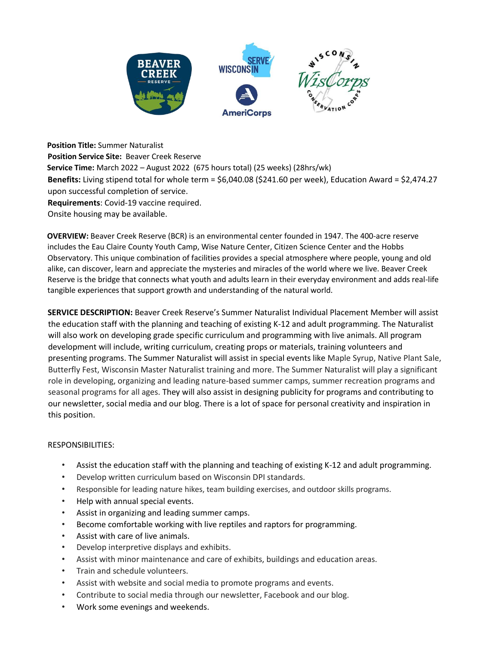

**Position Title:** Summer Naturalist **Position Service Site:** Beaver Creek Reserve **Service Time:** March 2022 – August 2022 (675 hours total) (25 weeks) (28hrs/wk) **Benefits:** Living stipend total for whole term = \$6,040.08 (\$241.60 per week), Education Award = \$2,474.27 upon successful completion of service. **Requirements**: Covid-19 vaccine required. Onsite housing may be available.

**OVERVIEW:** Beaver Creek Reserve (BCR) is an environmental center founded in 1947. The 400-acre reserve includes the Eau Claire County Youth Camp, Wise Nature Center, Citizen Science Center and the Hobbs Observatory. This unique combination of facilities provides a special atmosphere where people, young and old alike, can discover, learn and appreciate the mysteries and miracles of the world where we live. Beaver Creek Reserve is the bridge that connects what youth and adults learn in their everyday environment and adds real-life tangible experiences that support growth and understanding of the natural world.

**SERVICE DESCRIPTION:** Beaver Creek Reserve's Summer Naturalist Individual Placement Member will assist the education staff with the planning and teaching of existing K-12 and adult programming. The Naturalist will also work on developing grade specific curriculum and programming with live animals. All program development will include, writing curriculum, creating props or materials, training volunteers and presenting programs. The Summer Naturalist will assist in special events like Maple Syrup, Native Plant Sale, Butterfly Fest, Wisconsin Master Naturalist training and more. The Summer Naturalist will play a significant role in developing, organizing and leading nature-based summer camps, summer recreation programs and seasonal programs for all ages. They will also assist in designing publicity for programs and contributing to our newsletter, social media and our blog. There is a lot of space for personal creativity and inspiration in this position.

## RESPONSIBILITIES:

- Assist the education staff with the planning and teaching of existing K-12 and adult programming.
- Develop written curriculum based on Wisconsin DPI standards.
- Responsible for leading nature hikes, team building exercises, and outdoor skills programs.
- Help with annual special events.
- Assist in organizing and leading summer camps.
- Become comfortable working with live reptiles and raptors for programming.
- Assist with care of live animals.
- Develop interpretive displays and exhibits.
- Assist with minor maintenance and care of exhibits, buildings and education areas.
- Train and schedule volunteers.
- Assist with website and social media to promote programs and events.
- Contribute to social media through our newsletter, Facebook and our blog.
- Work some evenings and weekends.